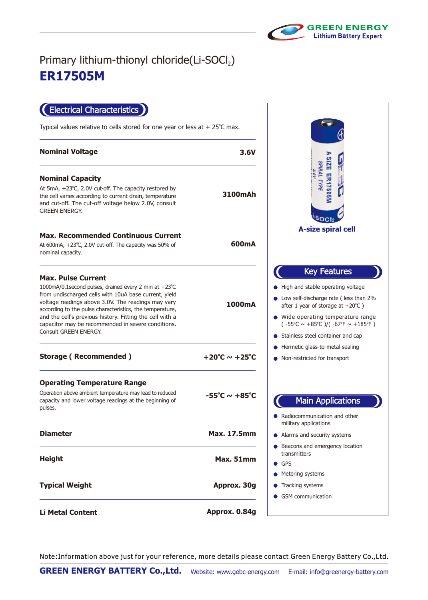

## **ER17505M** Primary lithium-thionyl chloride(Li-SOCl2)

Electrical Characteristics

Typical values relative to cells stored for one year or less at  $+25^{\circ}$ C max.

| <b>Nominal Voltage</b>                                                                                                                                                                                                                                                                                                                                                                                   | 3.6V                               |
|----------------------------------------------------------------------------------------------------------------------------------------------------------------------------------------------------------------------------------------------------------------------------------------------------------------------------------------------------------------------------------------------------------|------------------------------------|
| <b>Nominal Capacity</b><br>At 5mA, $+23^{\circ}$ C, 2.0V cut-off. The capacity restored by<br>the cell varies according to current drain, temperature<br>and cut-off. The cut-off voltage below 2.0V, consult<br><b>GREEN ENERGY.</b>                                                                                                                                                                    | 3100mAh                            |
| <b>Max. Recommended Continuous Current</b><br>At 600mA, +23°C, 2.0V cut-off. The capacity was 50% of<br>nominal capacity.                                                                                                                                                                                                                                                                                | 600mA                              |
| <b>Max. Pulse Current</b><br>1000mA/0.1second pulses, drained every 2 min at +23°C<br>from undischarged cells with 10uA base current, yield<br>voltage readings above 3.0V. The readings may vary<br>according to the pulse characteristics, the temperature,<br>and the cell's previous history. Fitting the cell with a<br>capacitor may be recommended in severe conditions.<br>Consult GREEN ENERGY. | 1000mA                             |
| <b>Storage (Recommended)</b>                                                                                                                                                                                                                                                                                                                                                                             | +20°C $\sim$ +25°C                 |
| <b>Operating Temperature Range</b><br>Operation above ambient temperature may lead to reduced<br>capacity and lower voltage readings at the beginning of<br>pulses.                                                                                                                                                                                                                                      | $-55^{\circ}$ C ~ +85 $^{\circ}$ C |
| <b>Diameter</b>                                                                                                                                                                                                                                                                                                                                                                                          | <b>Max. 17.5mm</b>                 |
| <b>Height</b>                                                                                                                                                                                                                                                                                                                                                                                            | Max. 51mm                          |
| <b>Typical Weight</b>                                                                                                                                                                                                                                                                                                                                                                                    | Approx. 30g                        |
| <b>Li Metal Content</b>                                                                                                                                                                                                                                                                                                                                                                                  | Approx. 0.84g                      |



Note:Information above just for your reference, more details please contact Green Energy Battery Co.,Ltd.